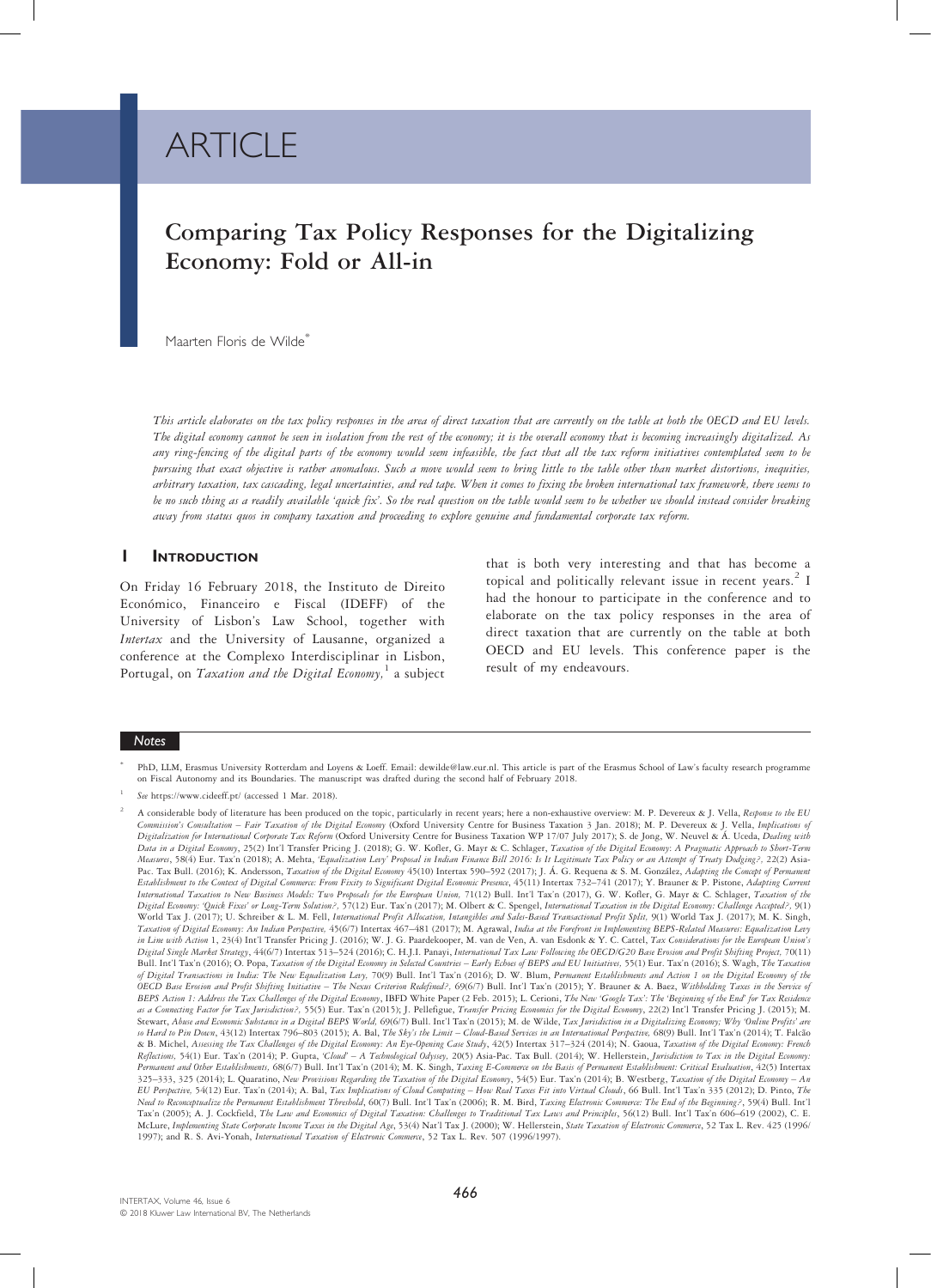# **ARTICLE**

# Comparing Tax Policy Responses for the Digitalizing Economy: Fold or All-in

Maarten Floris de Wilde<sup>\*</sup>

This article elaborates on the tax policy responses in the area of direct taxation that are currently on the table at both the OECD and EU levels. The digital economy cannot be seen in isolation from the rest of the economy; it is the overall economy that is becoming increasingly digitalized. As any ring-fencing of the digital parts of the economy would seem infeasible, the fact that all the tax reform initiatives contemplated seem to be pursuing that exact objective is rather anomalous. Such a move would seem to bring little to the table other than market distortions, inequities, arbitrary taxation, tax cascading, legal uncertainties, and red tape. When it comes to fixing the broken international tax framework, there seems to be no such thing as a readily available 'quick fix'. So the real question on the table would seem to be whether we should instead consider breaking away from status quos in company taxation and proceeding to explore genuine and fundamental corporate tax reform.

### **I** INTRODUCTION

On Friday 16 February 2018, the Instituto de Direito Económico, Financeiro e Fiscal (IDEFF) of the University of Lisbon's Law School, together with Intertax and the University of Lausanne, organized a conference at the Complexo Interdisciplinar in Lisbon, Portugal, on Taxation and the Digital Economy,<sup>1</sup> a subject

that is both very interesting and that has become a topical and politically relevant issue in recent years.<sup>2</sup> I had the honour to participate in the conference and to elaborate on the tax policy responses in the area of direct taxation that are currently on the table at both OECD and EU levels. This conference paper is the result of my endeavours.

PhD, LLM, Erasmus University Rotterdam and Loyens & Loeff. Email: dewilde@law.eur.nl. This article is part of the Erasmus School of Law's faculty research programme on Fiscal Autonomy and its Boundaries. The manuscript was drafted during the second half of February 2018.

See https://www.cideeff.pt/ (accessed 1 Mar. 2018).

A considerable body of literature has been produced on the topic, particularly in recent years; here a non-exhaustive overview: M. P. Devereux & J. Vella, Response to the EU Commission's Consultation - Fair Taxation of the Digital Economy (Oxford University Centre for Business Taxation 3 Jan. 2018); M. P. Devereux & J. Vella, Implications of Digitalization for International Corporate Tax Reform (Oxford University Centre for Business Taxation WP 17/07 July 2017); S. de Jong, W. Neuvel & Á. Uceda, Dealing with Data in a Digital Economy, 25(2) Int'l Transfer Pricing J. (2018); G. W. Kofler, G. Mayr & C. Schlager, Taxation of the Digital Economy: A Pragmatic Approach to Short-Term<br>Measures, 58(4) Eur. Tax'n (2018); A. Mehta, 'Equa Pac. Tax Bull. (2016); K. Andersson, Taxation of the Digital Economy 45(10) Intertax 590-592 (2017); J. Á. G. Requena & S. M. González, Adapting the Concept of Permanent Establishment to the Context of Digital Commerce: From Fixity to Significant Digital Economic Presence, 45(11) Intertax 732–741 (2017); Y. Brauner & P. Pistone, Adapting Current International Taxation to New Business Models: Two Proposals for the European Union, 71(12) Bull. Int'l Tax'n (2017), G. W. Kofler, G. Mayr & C. Schlager, Taxation of the Digital Economy: 'Quick Fixes' or Long-Term Solution?, 57(12) Eur. Tax'n (2017); M. Olbert & C. Spengel, International Taxation in the Digital Economy: Challenge Accepted?, 9(1) World Tax J. (2017); U. Schreiber & L. M. Fell, International Profit Allocation, Intangibles and Sales-Based Transactional Profit Split, 9(1) World Tax J. (2017); M. K. Singh, Taxation of Digital Economy: An Indian Perspective, 45(6/7) Intertax 467–481 (2017); M. Agrawal, India at the Forefront in Implementing BEPS-Related Measures: Equalization Levy<br>in Line with Action 1, 23(4) Int'l Transfer P Digital Single Market Strategy, 44(6/7) Intertax 513–524 (2016); C. H.J.I. Panayi, International Tax Law Following the OECD/G20 Base Erosion and Profit Shifting Project, 70(11)<br>Bull. Int'l Tax'n (2016); O. Popa, Taxation o of Digital Transactions in India: The New Equalization Levy, 70(9) Bull. Int'l Tax'n (2016); D. W. Blum, Permanent Establishments and Action 1 on the Digital Economy of the OECD Base Erosion and Profit Shifting Initiative - The Nexus Criterion Redefined?, 69(6/7) Bull. Int'l Tax'n (2015); Y. Brauner & A. Baez, Withholding Taxes in the Service of BEPS Action 1: Address the Tax Challenges of the Digital Economy, IBFD White Paper (2 Feb. 2015); L. Cerioni, The New 'Google Tax': The 'Beginning of the End' for Tax Residence as a Connecting Factor for Tax Jurisdiction?, 55(5) Eur. Tax'n (2015); J. Pellefigue, Transfer Pricing Economics for the Digital Economy, 22(2) Int'l Transfer Pricing J. (2015); M.<br>Stewart, Abuse and Economic Substance in so Hard to Pin Down, 43(12) Intertax 796-803 (2015); A. Bal, The Sky's the Limit - Cloud-Based Services in an International Perspective, 68(9) Bull. Int'l Tax'n (2014); T. Falcão & B. Michel, Assessing the Tax Challenges of the Digital Economy: An Eye-Opening Case Study, 42(5) Intertax 317–324 (2014); N. Gaoua, Taxation of the Digital Economy: French Reflections, 54(1) Eur. Tax'n (2014); P. Gupta, 'Cloud' – A Technological Odyssey, 20(5) Asia-Pac. Tax Bull. (2014); W. Hellerstein, Jurisdiction to Tax in the Digital Economy: Permanent and Other Establishments, 68(6/7) Bull. Int'l Tax'n (2014); M. K. Singh, Taxing E-Commerce on the Basis of Permanent Establishment: Critical Evaluation, 42(5) Intertax<br>325–333, 325 (2014); L. Quaratino, New Provi EU Perspective, 54(12) Eur. Tax'n (2014); A. Bal, Tax Implications of Cloud Computing – How Real Taxes Fit into Virtual Clouds, 66 Bull. Int'l Tax'n 335 (2012); D. Pinto, The Need to Reconceptualize the Permanent Establishment Threshold, 60(7) Bull. Int'l Tax'n (2006); R. M. Bird, Taxing Electronic Commerce: The End of the Beginning?, 59(4) Bull. Int'l Tax'n (2005); A. J. Cockfield, The Law and Economics of Digital Taxation: Challenges to Traditional Tax Laws and Principles, 56(12) Bull. Int'l Tax'n 606-619 (2002), C. E. McLure, Implementing State Corporate Income Taxes in the Digital Age, 53(4) Nat'l Tax J. (2000); W. Hellerstein, State Taxation of Electronic Commerce, 52 Tax L. Rev. 425 (1996/ 1997); and R. S. Avi-Yonah, International Taxation of Electronic Commerce, 52 Tax L. Rev. 507 (1996/1997).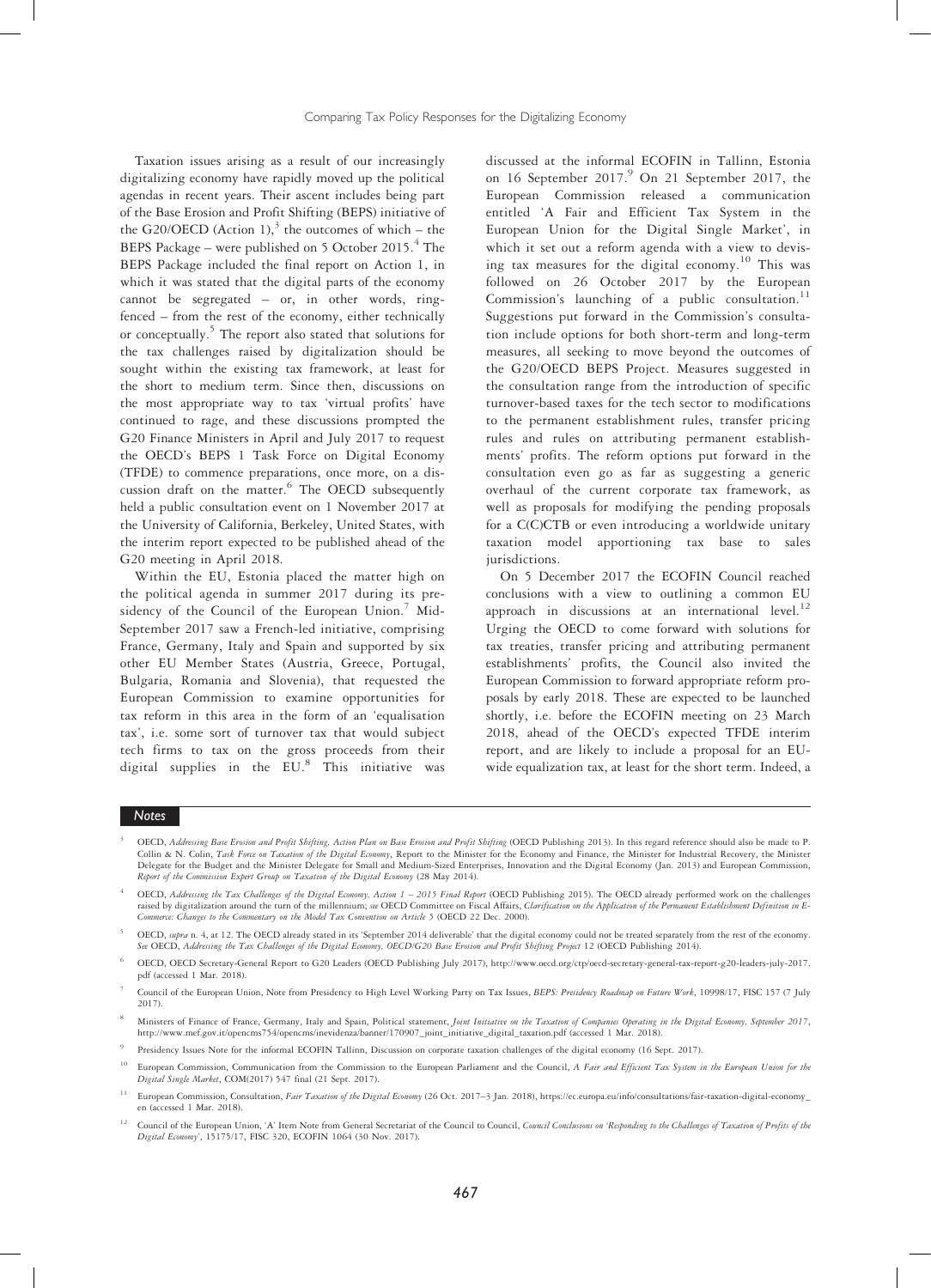Taxation issues arising as a result of our increasingly digitalizing economy have rapidly moved up the political agendas in recent years. Their ascent includes being part of the Base Erosion and Profit Shifting (BEPS) initiative of the G20/OECD (Action 1),<sup>3</sup> the outcomes of which – the BEPS Package – were published on 5 October 2015. $4$  The BEPS Package included the final report on Action 1, in which it was stated that the digital parts of the economy cannot be segregated – or, in other words, ringfenced – from the rest of the economy, either technically or conceptually.<sup>5</sup> The report also stated that solutions for the tax challenges raised by digitalization should be sought within the existing tax framework, at least for the short to medium term. Since then, discussions on the most appropriate way to tax 'virtual profits' have continued to rage, and these discussions prompted the G20 Finance Ministers in April and July 2017 to request the OECD's BEPS 1 Task Force on Digital Economy (TFDE) to commence preparations, once more, on a discussion draft on the matter.<sup>6</sup> The OECD subsequently held a public consultation event on 1 November 2017 at the University of California, Berkeley, United States, with the interim report expected to be published ahead of the G20 meeting in April 2018.

Within the EU, Estonia placed the matter high on the political agenda in summer 2017 during its presidency of the Council of the European Union.<sup>7</sup> Mid-September 2017 saw a French-led initiative, comprising France, Germany, Italy and Spain and supported by six other EU Member States (Austria, Greece, Portugal, Bulgaria, Romania and Slovenia), that requested the European Commission to examine opportunities for tax reform in this area in the form of an 'equalisation tax', i.e. some sort of turnover tax that would subject tech firms to tax on the gross proceeds from their digital supplies in the  $EU^8$  This initiative was

discussed at the informal ECOFIN in Tallinn, Estonia on 16 September 2017.<sup>9</sup> On 21 September 2017, the European Commission released a communication entitled 'A Fair and Efficient Tax System in the European Union for the Digital Single Market', in which it set out a reform agenda with a view to devising tax measures for the digital economy.<sup>10</sup> This was followed on 26 October 2017 by the European Commission's launching of a public consultation.<sup>11</sup> Suggestions put forward in the Commission's consultation include options for both short-term and long-term measures, all seeking to move beyond the outcomes of the G20/OECD BEPS Project. Measures suggested in the consultation range from the introduction of specific turnover-based taxes for the tech sector to modifications to the permanent establishment rules, transfer pricing rules and rules on attributing permanent establishments' profits. The reform options put forward in the consultation even go as far as suggesting a generic overhaul of the current corporate tax framework, as well as proposals for modifying the pending proposals for a C(C)CTB or even introducing a worldwide unitary taxation model apportioning tax base to sales jurisdictions.

On 5 December 2017 the ECOFIN Council reached conclusions with a view to outlining a common EU approach in discussions at an international level. $^{12}$ Urging the OECD to come forward with solutions for tax treaties, transfer pricing and attributing permanent establishments' profits, the Council also invited the European Commission to forward appropriate reform proposals by early 2018. These are expected to be launched shortly, i.e. before the ECOFIN meeting on 23 March 2018, ahead of the OECD's expected TFDE interim report, and are likely to include a proposal for an EUwide equalization tax, at least for the short term. Indeed, a

- OECD, Addressing Base Erosion and Profit Shifting, Action Plan on Base Erosion and Profit Shifting (OECD Publishing 2013). In this regard reference should also be made to P. Collin & N. Colin, Task Force on Taxation of the Digital Economy, Report to the Minister for the Economy and Finance, the Minister for Industrial Recovery, the Minister Delegate for the Budget and the Minister Delegate for Small and Medium-Sized Enterprises, Innovation and the Digital Economy (Jan. 2013) and European Commission, Report of the Commission Expert Group on Taxation of the Digital Economy (28 May 2014).
- OECD, Addressing the Tax Challenges of the Digital Economy, Action 1 2015 Final Report (OECD Publishing 2015). The OECD already performed work on the challenges raised by digitalization around the turn of the millennium; see OECD Committee on Fiscal Affairs, Clarification on the Application of the Permanent Establishment Definition in E-Commerce: Changes to the Commentary on the Model Tax Convention on Article 5 (OECD 22 Dec. 2000).
- OECD, supra n. 4, at 12. The OECD already stated in its 'September 2014 deliverable' that the digital economy could not be treated separately from the rest of the economy. See OECD, Addressing the Tax Challenges of the Digital Economy, OECD/G20 Base Erosion and Profit Shifting Project 12 (OECD Publishing 2014).
- <sup>6</sup> OECD, OECD Secretary-General Report to G20 Leaders (OECD Publishing July 2017), http://www.oecd.org/ctp/oecd-secretary-general-tax-report-g20-leaders-july-2017. pdf (accessed 1 Mar. 2018).
- Council of the European Union, Note from Presidency to High Level Working Party on Tax Issues, BEPS: Presidency Roadmap on Future Work, 10998/17, FISC 157 (7 July 2017).
- Ministers of Finance of France, Germany, Italy and Spain, Political statement, Joint Initiative on the Taxation of Companies Operating in the Digital Economy, September 2017, http://www.mef.gov.it/opencms754/opencms/inevidenza/banner/170907\_joint\_initiative\_digital\_taxation.pdf (accessed 1 Mar. 2018).
- <sup>9</sup> Presidency Issues Note for the informal ECOFIN Tallinn, Discussion on corporate taxation challenges of the digital economy (16 Sept. 2017).
- European Commission, Communication from the Commission to the European Parliament and the Council, A Fair and Efficient Tax System in the European Union for the Digital Single Market, COM(2017) 547 final (21 Sept. 2017).
- <sup>11</sup> European Commission, Consultation, Fair Taxation of the Digital Economy (26 Oct. 2017–3 Jan. 2018), https://ec.europa.eu/info/consultations/fair-taxation-digital-economy\_ en (accessed 1 Mar. 2018).
- Council of the European Union, 'A' Item Note from General Secretariat of the Council to Council, Council Conclusions on 'Responding to the Challenges of Taxation of Profits of the Digital Economy', 15175/17, FISC 320, ECOFIN 1064 (30 Nov. 2017).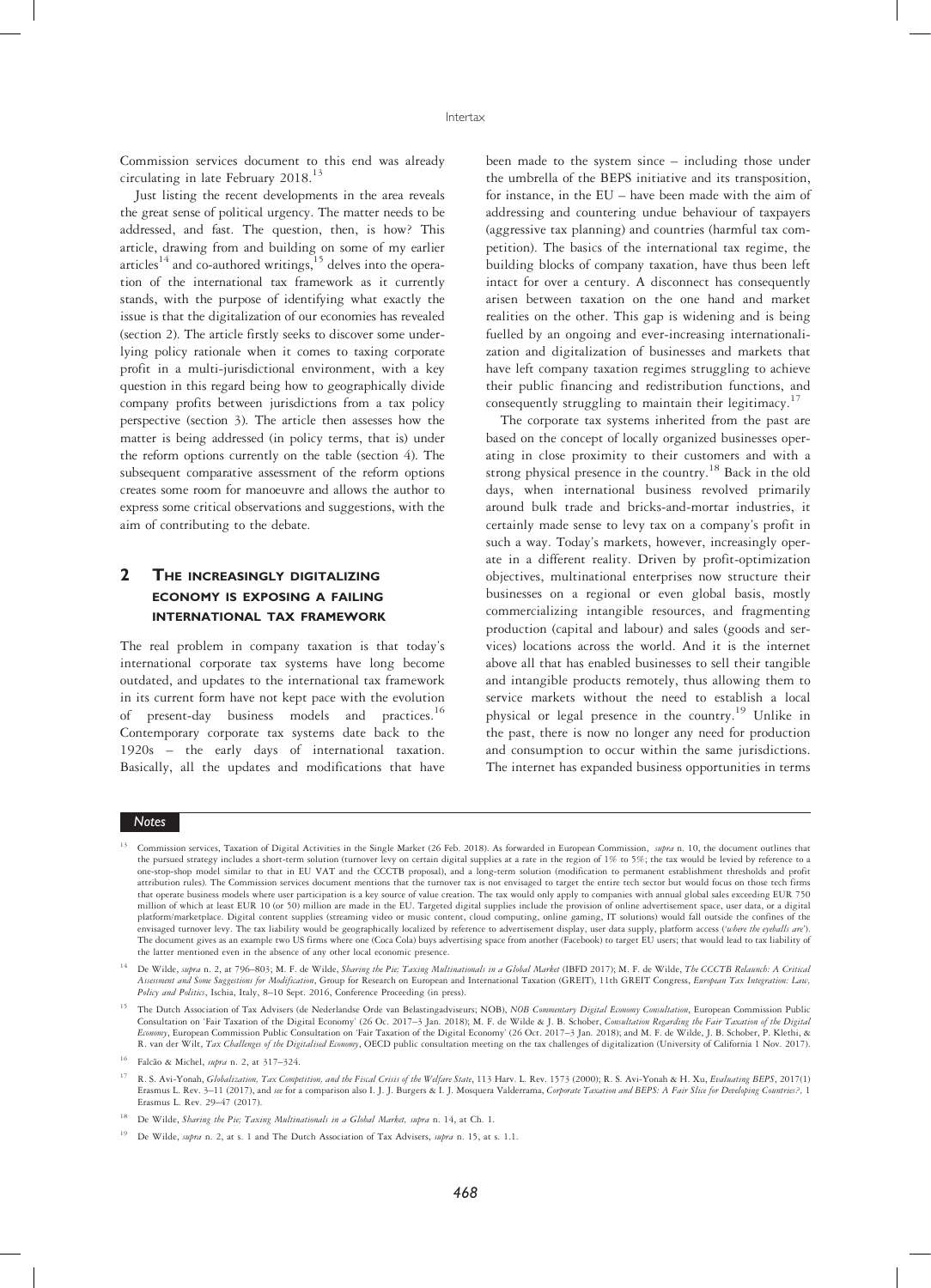Commission services document to this end was already circulating in late February 2018.<sup>13</sup>

Just listing the recent developments in the area reveals the great sense of political urgency. The matter needs to be addressed, and fast. The question, then, is how? This article, drawing from and building on some of my earlier articles<sup>14</sup> and co-authored writings,<sup>15</sup> delves into the operation of the international tax framework as it currently stands, with the purpose of identifying what exactly the issue is that the digitalization of our economies has revealed (section 2). The article firstly seeks to discover some underlying policy rationale when it comes to taxing corporate profit in a multi-jurisdictional environment, with a key question in this regard being how to geographically divide company profits between jurisdictions from a tax policy perspective (section 3). The article then assesses how the matter is being addressed (in policy terms, that is) under the reform options currently on the table (section 4). The subsequent comparative assessment of the reform options creates some room for manoeuvre and allows the author to express some critical observations and suggestions, with the aim of contributing to the debate.

# 2 THE INCREASINGLY DIGITALIZING ECONOMY IS EXPOSING A FAILING INTERNATIONAL TAX FRAMEWORK

The real problem in company taxation is that today's international corporate tax systems have long become outdated, and updates to the international tax framework in its current form have not kept pace with the evolution of present-day business models and practices.<sup>16</sup> Contemporary corporate tax systems date back to the 1920s – the early days of international taxation. Basically, all the updates and modifications that have

been made to the system since – including those under the umbrella of the BEPS initiative and its transposition, for instance, in the EU – have been made with the aim of addressing and countering undue behaviour of taxpayers (aggressive tax planning) and countries (harmful tax competition). The basics of the international tax regime, the building blocks of company taxation, have thus been left intact for over a century. A disconnect has consequently arisen between taxation on the one hand and market realities on the other. This gap is widening and is being fuelled by an ongoing and ever-increasing internationalization and digitalization of businesses and markets that have left company taxation regimes struggling to achieve their public financing and redistribution functions, and consequently struggling to maintain their legitimacy.<sup>17</sup>

The corporate tax systems inherited from the past are based on the concept of locally organized businesses operating in close proximity to their customers and with a strong physical presence in the country.<sup>18</sup> Back in the old days, when international business revolved primarily around bulk trade and bricks-and-mortar industries, it certainly made sense to levy tax on a company's profit in such a way. Today's markets, however, increasingly operate in a different reality. Driven by profit-optimization objectives, multinational enterprises now structure their businesses on a regional or even global basis, mostly commercializing intangible resources, and fragmenting production (capital and labour) and sales (goods and services) locations across the world. And it is the internet above all that has enabled businesses to sell their tangible and intangible products remotely, thus allowing them to service markets without the need to establish a local physical or legal presence in the country.<sup>19</sup> Unlike in the past, there is now no longer any need for production and consumption to occur within the same jurisdictions. The internet has expanded business opportunities in terms

- Commission services, Taxation of Digital Activities in the Single Market (26 Feb. 2018). As forwarded in European Commission, supra n. 10, the document outlines that the pursued strategy includes a short-term solution (turnover levy on certain digital supplies at a rate in the region of 1% to 5%; the tax would be levied by reference to a one-stop-shop model similar to that in EU VAT and the CCCTB proposal), and a long-term solution (modification to permanent establishment thresholds and profit attribution rules). The Commission services document mentions that the turnover tax is not envisaged to target the entire tech sector but would focus on those tech firms that operate business models where user participation is a key source of value creation. The tax would only apply to companies with annual global sales exceeding EUR 750 million of which at least EUR 10 (or 50) million are made in the EU. Targeted digital supplies include the provision of online advertisement space, user data, or a digital platform/marketplace. Digital content supplies (streaming video or music content, cloud computing, online gaming, IT solutions) would fall outside the confines of the envisaged turnover levy. The tax liability would be geographically localized by reference to advertisement display, user data supply, platform access ('where the eyeballs are'). The document gives as an example two US firms where one (Coca Cola) buys advertising space from another (Facebook) to target EU users; that would lead to tax liability of the latter mentioned even in the absence of any other local economic presence.
- <sup>14</sup> De Wilde, supra n. 2, at 796–803; M. F. de Wilde, Sharing the Pie; Taxing Multinationals in a Global Market (IBFD 2017); M. F. de Wilde, The CCCTB Relaunch: A Critical Assessment and Some Suggestions for Modification, Group for Research on European and International Taxation (GREIT), 11th GREIT Congress, European Tax Integration: Law, Policy and Politics, Ischia, Italy, 8-10 Sept. 2016, Conference Proceeding (in press).
- <sup>15</sup> The Dutch Association of Tax Advisers (de Nederlandse Orde van Belastingadviseurs; NOB), NOB Commentary Digital Economy Consultation, European Commission Public<br>Consultation on 'Fair Taxation of the Digital Economy' ( Economy, European Commission Public Consultation on 'Fair Taxation of the Digital Economy' (26 Oct. 2017-3 Jan. 2018); and M. F. de Wilde, J. B. Schober, P. Klethi, & R. van der Wilt, Tax Challenges of the Digitalised Economy, OECD public consultation meeting on the tax challenges of digitalization (University of California 1 Nov. 2017).
- $16$  Falcão & Michel, supra n. 2, at 317–324.
- <sup>17</sup> R. S. Avi-Yonah, Globalization, Tax Competition, and the Fiscal Crisis of the Welfare State, 113 Harv. L. Rev. 1573 (2000); R. S. Avi-Yonah & H. Xu, Evaluating BEPS, 2017(1) Erasmus L. Rev. 3-11 (2017), and see for a comparison also I. J. J. Burgers & I. J. Mosquera Valderrama, Corporate Taxation and BEPS: A Fair Slice for Developing Countries?, 1 Erasmus L. Rev. 29–47 (2017).
- De Wilde, Sharing the Pie; Taxing Multinationals in a Global Market, supra n. 14, at Ch. 1.

De Wilde, supra n. 2, at s. 1 and The Dutch Association of Tax Advisers, supra n. 15, at s. 1.1.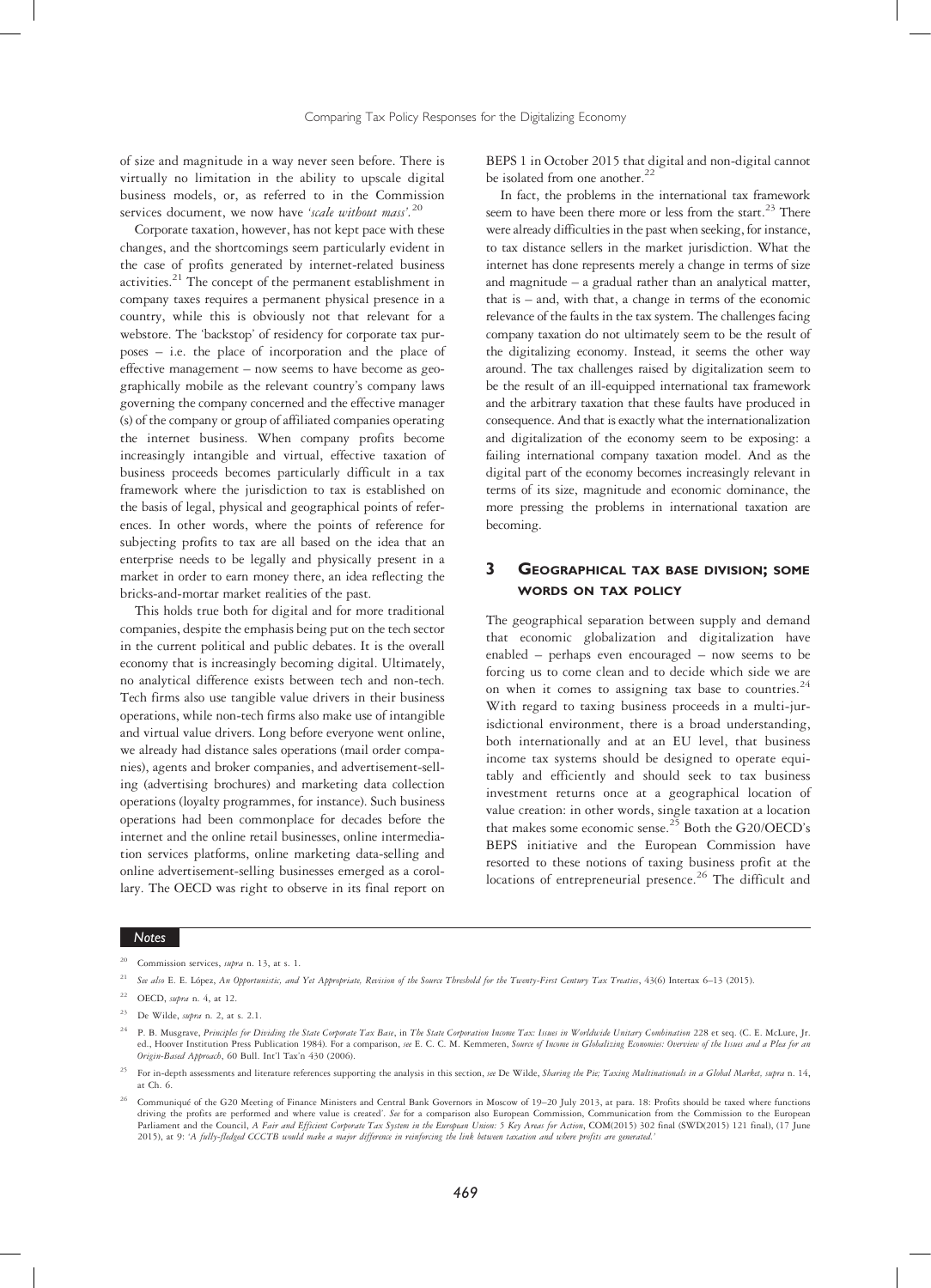of size and magnitude in a way never seen before. There is virtually no limitation in the ability to upscale digital business models, or, as referred to in the Commission services document, we now have 'scale without mass'.<sup>20</sup>

Corporate taxation, however, has not kept pace with these changes, and the shortcomings seem particularly evident in the case of profits generated by internet-related business activities.<sup>21</sup> The concept of the permanent establishment in company taxes requires a permanent physical presence in a country, while this is obviously not that relevant for a webstore. The 'backstop' of residency for corporate tax purposes – i.e. the place of incorporation and the place of effective management – now seems to have become as geographically mobile as the relevant country's company laws governing the company concerned and the effective manager (s) of the company or group of affiliated companies operating the internet business. When company profits become increasingly intangible and virtual, effective taxation of business proceeds becomes particularly difficult in a tax framework where the jurisdiction to tax is established on the basis of legal, physical and geographical points of references. In other words, where the points of reference for subjecting profits to tax are all based on the idea that an enterprise needs to be legally and physically present in a market in order to earn money there, an idea reflecting the bricks-and-mortar market realities of the past.

This holds true both for digital and for more traditional companies, despite the emphasis being put on the tech sector in the current political and public debates. It is the overall economy that is increasingly becoming digital. Ultimately, no analytical difference exists between tech and non-tech. Tech firms also use tangible value drivers in their business operations, while non-tech firms also make use of intangible and virtual value drivers. Long before everyone went online, we already had distance sales operations (mail order companies), agents and broker companies, and advertisement-selling (advertising brochures) and marketing data collection operations (loyalty programmes, for instance). Such business operations had been commonplace for decades before the internet and the online retail businesses, online intermediation services platforms, online marketing data-selling and online advertisement-selling businesses emerged as a corollary. The OECD was right to observe in its final report on

BEPS 1 in October 2015 that digital and non-digital cannot be isolated from one another.<sup>22</sup>

In fact, the problems in the international tax framework seem to have been there more or less from the start.<sup>23</sup> There were already difficulties in the past when seeking, for instance, to tax distance sellers in the market jurisdiction. What the internet has done represents merely a change in terms of size and magnitude – a gradual rather than an analytical matter, that is – and, with that, a change in terms of the economic relevance of the faults in the tax system. The challenges facing company taxation do not ultimately seem to be the result of the digitalizing economy. Instead, it seems the other way around. The tax challenges raised by digitalization seem to be the result of an ill-equipped international tax framework and the arbitrary taxation that these faults have produced in consequence. And that is exactly what the internationalization and digitalization of the economy seem to be exposing: a failing international company taxation model. And as the digital part of the economy becomes increasingly relevant in terms of its size, magnitude and economic dominance, the more pressing the problems in international taxation are becoming.

## 3 GEOGRAPHICAL TAX BASE DIVISION; SOME WORDS ON TAX POLICY

The geographical separation between supply and demand that economic globalization and digitalization have enabled – perhaps even encouraged – now seems to be forcing us to come clean and to decide which side we are on when it comes to assigning tax base to countries.<sup>24</sup> With regard to taxing business proceeds in a multi-jurisdictional environment, there is a broad understanding, both internationally and at an EU level, that business income tax systems should be designed to operate equitably and efficiently and should seek to tax business investment returns once at a geographical location of value creation: in other words, single taxation at a location that makes some economic sense.<sup>25</sup> Both the G20/OECD's BEPS initiative and the European Commission have resorted to these notions of taxing business profit at the locations of entrepreneurial presence.<sup>26</sup> The difficult and

Commission services, *subra* n. 13, at s. 1.

See also E. E. López, An Opportunistic, and Yet Appropriate, Revision of the Source Threshold for the Twenty-First Century Tax Treaties, 43(6) Intertax 6-13 (2015).

OECD, supra n. 4, at 12.

<sup>&</sup>lt;sup>23</sup> De Wilde, *supra* n. 2, at s. 2.1.

P. B. Musgrave, Principles for Dividing the State Corporate Tax Base, in The State Corporation Income Tax: Issues in Worldwide Unitary Combination 228 et seq. (C. E. McLure, Jr. ed., Hoover Institution Press Publication 1984). For a comparison, see E. C. C. M. Kemmeren, Source of Income in Globalizing Economies: Overview of the Issues and a Plea for an Origin-Based Approach, 60 Bull. Int'l Tax'n 430 (2006).

For in-depth assessments and literature references supporting the analysis in this section, see De Wilde, Sharing the Pie; Taxing Multinationals in a Global Market, supra n. 14, at Ch. 6.

<sup>26</sup> Communiqué of the G20 Meeting of Finance Ministers and Central Bank Governors in Moscow of 19–20 July 2013, at para. 18: Profits should be taxed where functions driving the profits are performed and where value is created'. See for a comparison also European Commission, Communication from the Commission to the European Parliament and the Council, A Fair and Efficient Corporate Tax System in the European Union: 5 Key Areas for Action, COM(2015) 302 final (SWD(2015) 121 final), (17 June 2015), at 9: 'A fully-fledged CCCTB would make a major difference in reinforcing the link between taxation and where profits are generated.'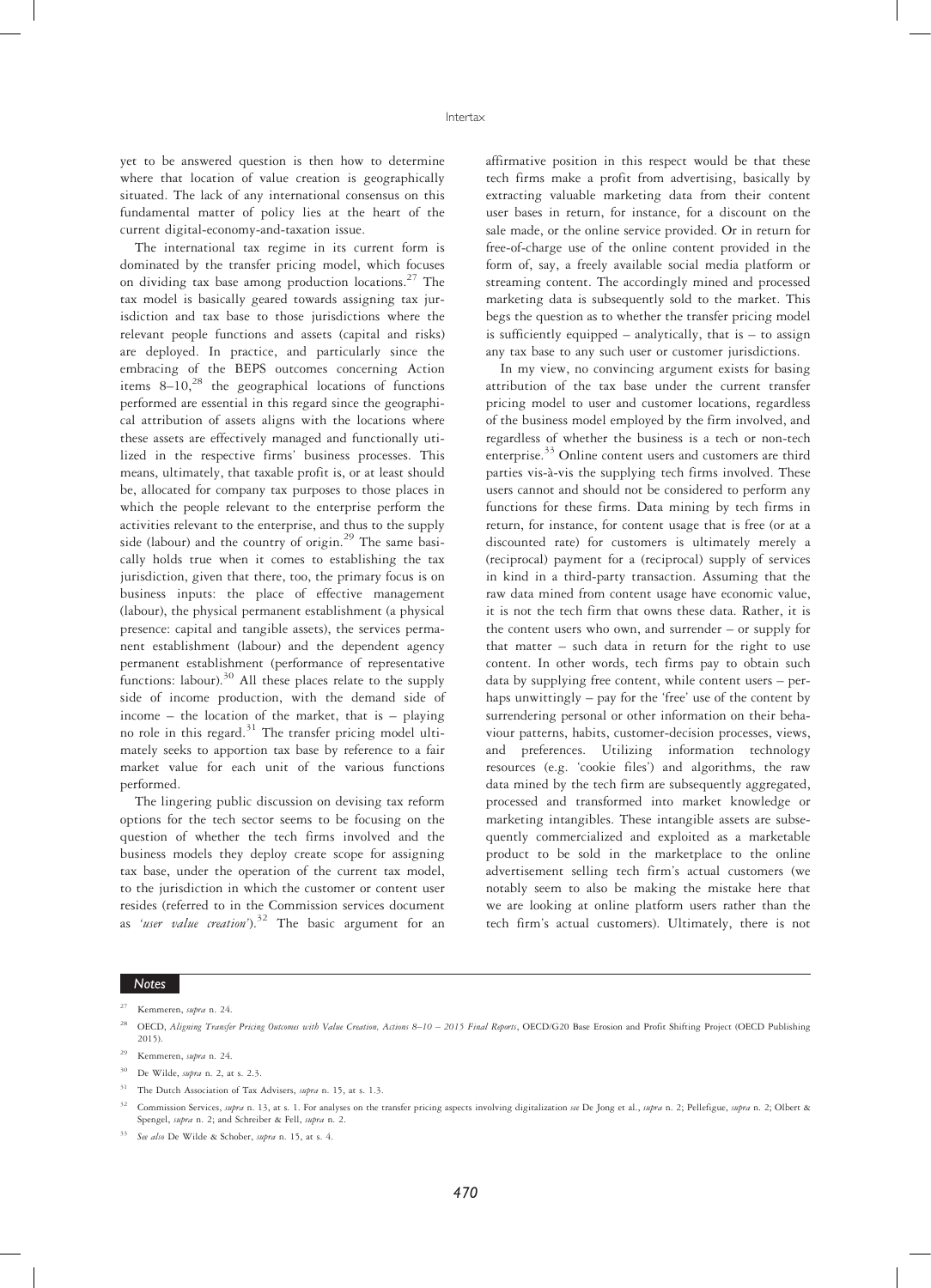yet to be answered question is then how to determine where that location of value creation is geographically situated. The lack of any international consensus on this fundamental matter of policy lies at the heart of the current digital-economy-and-taxation issue.

The international tax regime in its current form is dominated by the transfer pricing model, which focuses on dividing tax base among production locations. $27$  The tax model is basically geared towards assigning tax jurisdiction and tax base to those jurisdictions where the relevant people functions and assets (capital and risks) are deployed. In practice, and particularly since the embracing of the BEPS outcomes concerning Action items  $8-10$ ,<sup>28</sup> the geographical locations of functions performed are essential in this regard since the geographical attribution of assets aligns with the locations where these assets are effectively managed and functionally utilized in the respective firms' business processes. This means, ultimately, that taxable profit is, or at least should be, allocated for company tax purposes to those places in which the people relevant to the enterprise perform the activities relevant to the enterprise, and thus to the supply side (labour) and the country of origin.<sup>29</sup> The same basically holds true when it comes to establishing the tax jurisdiction, given that there, too, the primary focus is on business inputs: the place of effective management (labour), the physical permanent establishment (a physical presence: capital and tangible assets), the services permanent establishment (labour) and the dependent agency permanent establishment (performance of representative functions: labour).<sup>30</sup> All these places relate to the supply side of income production, with the demand side of income – the location of the market, that is – playing no role in this regard. $31$  The transfer pricing model ultimately seeks to apportion tax base by reference to a fair market value for each unit of the various functions performed.

The lingering public discussion on devising tax reform options for the tech sector seems to be focusing on the question of whether the tech firms involved and the business models they deploy create scope for assigning tax base, under the operation of the current tax model, to the jurisdiction in which the customer or content user resides (referred to in the Commission services document as 'user value creation').<sup>32</sup> The basic argument for an affirmative position in this respect would be that these tech firms make a profit from advertising, basically by extracting valuable marketing data from their content user bases in return, for instance, for a discount on the sale made, or the online service provided. Or in return for free-of-charge use of the online content provided in the form of, say, a freely available social media platform or streaming content. The accordingly mined and processed marketing data is subsequently sold to the market. This begs the question as to whether the transfer pricing model is sufficiently equipped – analytically, that is  $-$  to assign any tax base to any such user or customer jurisdictions.

In my view, no convincing argument exists for basing attribution of the tax base under the current transfer pricing model to user and customer locations, regardless of the business model employed by the firm involved, and regardless of whether the business is a tech or non-tech enterprise. $33$  Online content users and customers are third parties vis-à-vis the supplying tech firms involved. These users cannot and should not be considered to perform any functions for these firms. Data mining by tech firms in return, for instance, for content usage that is free (or at a discounted rate) for customers is ultimately merely a (reciprocal) payment for a (reciprocal) supply of services in kind in a third-party transaction. Assuming that the raw data mined from content usage have economic value, it is not the tech firm that owns these data. Rather, it is the content users who own, and surrender – or supply for that matter – such data in return for the right to use content. In other words, tech firms pay to obtain such data by supplying free content, while content users – perhaps unwittingly – pay for the 'free' use of the content by surrendering personal or other information on their behaviour patterns, habits, customer-decision processes, views, and preferences. Utilizing information technology resources (e.g. 'cookie files') and algorithms, the raw data mined by the tech firm are subsequently aggregated, processed and transformed into market knowledge or marketing intangibles. These intangible assets are subsequently commercialized and exploited as a marketable product to be sold in the marketplace to the online advertisement selling tech firm's actual customers (we notably seem to also be making the mistake here that we are looking at online platform users rather than the tech firm's actual customers). Ultimately, there is not

- De Wilde, *supra* n. 2, at s. 2.3.
- The Dutch Association of Tax Advisers, supra n. 15, at s. 1.3.
- Commission Services, supra n. 13, at s. 1. For analyses on the transfer pricing aspects involving digitalization see De Jong et al., supra n. 2; Pellefigue, supra n. 2; Olbert & Spengel, supra n. 2; and Schreiber & Fell, supra n. 2.
- See also De Wilde & Schober, supra n. 15, at s. 4.

Kemmeren, supra n. 24.

OECD, Aligning Transfer Pricing Outcomes with Value Creation, Actions 8–10 - 2015 Final Reports, OECD/G20 Base Erosion and Profit Shifting Project (OECD Publishing 2015).

Kemmeren, supra n. 24.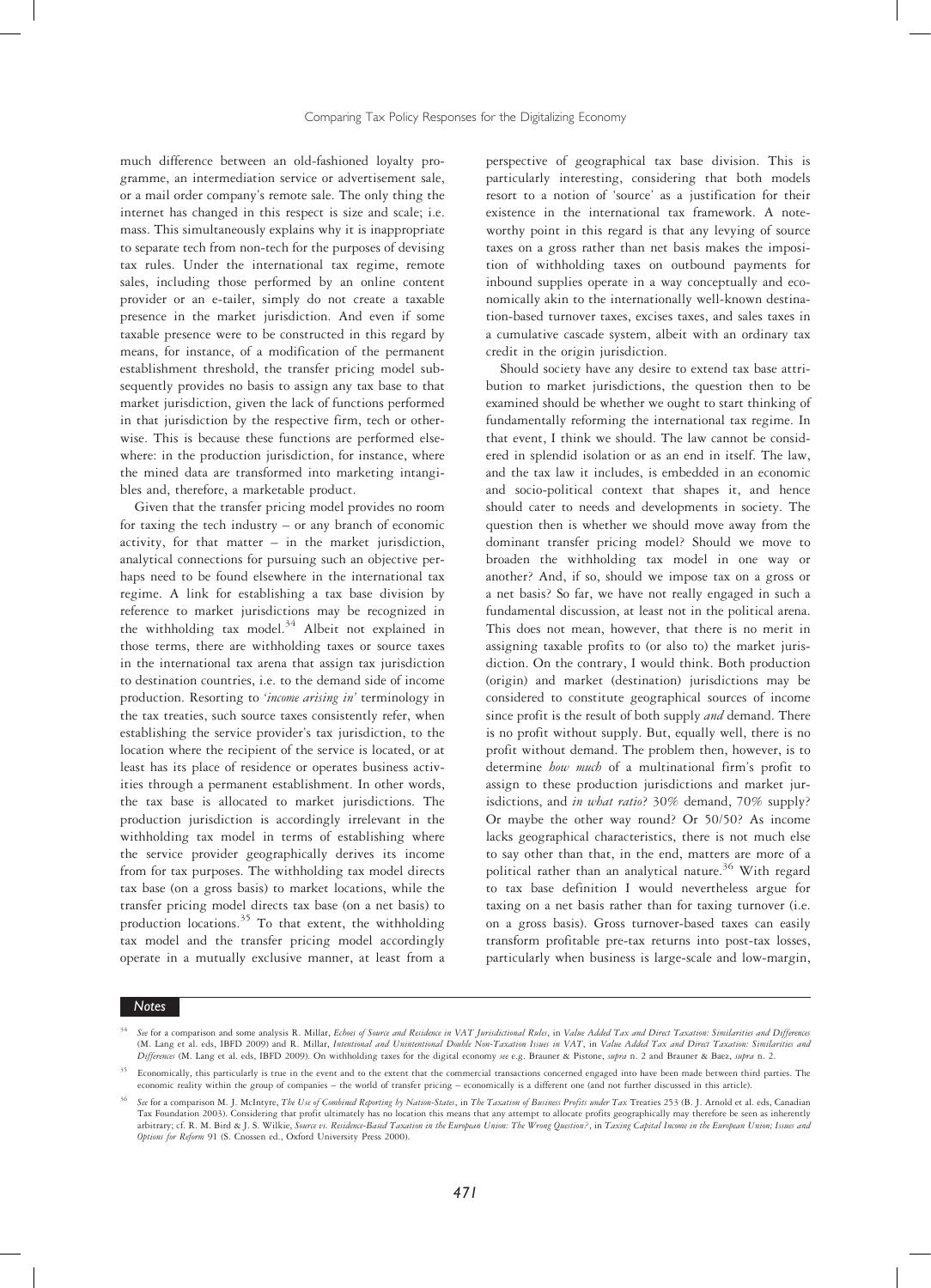much difference between an old-fashioned loyalty programme, an intermediation service or advertisement sale, or a mail order company's remote sale. The only thing the internet has changed in this respect is size and scale; i.e. mass. This simultaneously explains why it is inappropriate to separate tech from non-tech for the purposes of devising tax rules. Under the international tax regime, remote sales, including those performed by an online content provider or an e-tailer, simply do not create a taxable presence in the market jurisdiction. And even if some taxable presence were to be constructed in this regard by means, for instance, of a modification of the permanent establishment threshold, the transfer pricing model subsequently provides no basis to assign any tax base to that market jurisdiction, given the lack of functions performed in that jurisdiction by the respective firm, tech or otherwise. This is because these functions are performed elsewhere: in the production jurisdiction, for instance, where the mined data are transformed into marketing intangibles and, therefore, a marketable product.

Given that the transfer pricing model provides no room for taxing the tech industry – or any branch of economic activity, for that matter – in the market jurisdiction, analytical connections for pursuing such an objective perhaps need to be found elsewhere in the international tax regime. A link for establishing a tax base division by reference to market jurisdictions may be recognized in the withholding tax model.<sup>34</sup> Albeit not explained in those terms, there are withholding taxes or source taxes in the international tax arena that assign tax jurisdiction to destination countries, i.e. to the demand side of income production. Resorting to 'income arising in' terminology in the tax treaties, such source taxes consistently refer, when establishing the service provider's tax jurisdiction, to the location where the recipient of the service is located, or at least has its place of residence or operates business activities through a permanent establishment. In other words, the tax base is allocated to market jurisdictions. The production jurisdiction is accordingly irrelevant in the withholding tax model in terms of establishing where the service provider geographically derives its income from for tax purposes. The withholding tax model directs tax base (on a gross basis) to market locations, while the transfer pricing model directs tax base (on a net basis) to production locations.<sup>35</sup> To that extent, the withholding tax model and the transfer pricing model accordingly operate in a mutually exclusive manner, at least from a

perspective of geographical tax base division. This is particularly interesting, considering that both models resort to a notion of 'source' as a justification for their existence in the international tax framework. A noteworthy point in this regard is that any levying of source taxes on a gross rather than net basis makes the imposition of withholding taxes on outbound payments for inbound supplies operate in a way conceptually and economically akin to the internationally well-known destination-based turnover taxes, excises taxes, and sales taxes in a cumulative cascade system, albeit with an ordinary tax credit in the origin jurisdiction.

Should society have any desire to extend tax base attribution to market jurisdictions, the question then to be examined should be whether we ought to start thinking of fundamentally reforming the international tax regime. In that event, I think we should. The law cannot be considered in splendid isolation or as an end in itself. The law, and the tax law it includes, is embedded in an economic and socio-political context that shapes it, and hence should cater to needs and developments in society. The question then is whether we should move away from the dominant transfer pricing model? Should we move to broaden the withholding tax model in one way or another? And, if so, should we impose tax on a gross or a net basis? So far, we have not really engaged in such a fundamental discussion, at least not in the political arena. This does not mean, however, that there is no merit in assigning taxable profits to (or also to) the market jurisdiction. On the contrary, I would think. Both production (origin) and market (destination) jurisdictions may be considered to constitute geographical sources of income since profit is the result of both supply *and* demand. There is no profit without supply. But, equally well, there is no profit without demand. The problem then, however, is to determine *how much* of a multinational firm's profit to assign to these production jurisdictions and market jurisdictions, and in what ratio? 30% demand, 70% supply? Or maybe the other way round? Or 50/50? As income lacks geographical characteristics, there is not much else to say other than that, in the end, matters are more of a political rather than an analytical nature.<sup>36</sup> With regard to tax base definition I would nevertheless argue for taxing on a net basis rather than for taxing turnover (i.e. on a gross basis). Gross turnover-based taxes can easily transform profitable pre-tax returns into post-tax losses, particularly when business is large-scale and low-margin,

See for a comparison and some analysis R. Millar, Echoes of Source and Residence in VAT Jurisdictional Rules, in Value Added Tax and Direct Taxation: Similarities and Differences (M. Lang et al. eds, IBFD 2009) and R. Millar, Intentional and Unintentional Double Non-Taxation Issues in VAT, in Value Added Tax and Direct Taxation: Similarities and Differences (M. Lang et al. eds, IBFD 2009). On withholding taxes for the digital economy see e.g. Brauner & Pistone, supra n. 2 and Brauner & Baez, supra n. 2.

Economically, this particularly is true in the event and to the extent that the commercial transactions concerned engaged into have been made between third parties. The economic reality within the group of companies – the world of transfer pricing – economically is a different one (and not further discussed in this article).

See for a comparison M. J. McIntyre, The Use of Combined Reporting by Nation-States, in The Taxation of Business Profits under Tax Treaties 253 (B. J. Arnold et al. eds, Canadian Tax Foundation 2003). Considering that profit ultimately has no location this means that any attempt to allocate profits geographically may therefore be seen as inherently arbitrary; cf. R. M. Bird & J. S. Wilkie, Source vs. Residence-Based Taxation in the European Union: The Wrong Question?, in Taxing Capital Income in the European Union; Issues and Options for Reform 91 (S. Cnossen ed., Oxford University Press 2000).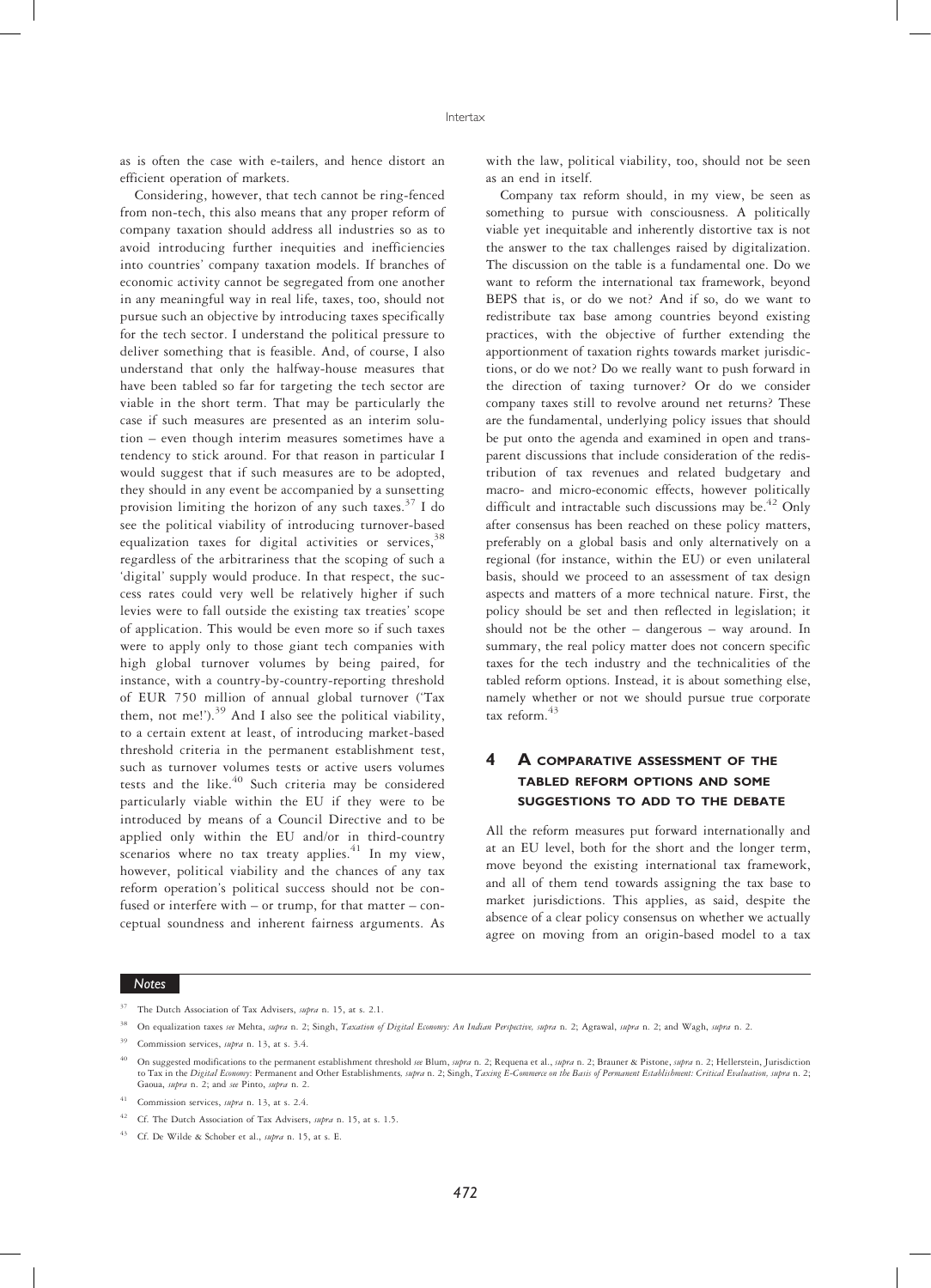as is often the case with e-tailers, and hence distort an efficient operation of markets.

Considering, however, that tech cannot be ring-fenced from non-tech, this also means that any proper reform of company taxation should address all industries so as to avoid introducing further inequities and inefficiencies into countries' company taxation models. If branches of economic activity cannot be segregated from one another in any meaningful way in real life, taxes, too, should not pursue such an objective by introducing taxes specifically for the tech sector. I understand the political pressure to deliver something that is feasible. And, of course, I also understand that only the halfway-house measures that have been tabled so far for targeting the tech sector are viable in the short term. That may be particularly the case if such measures are presented as an interim solution – even though interim measures sometimes have a tendency to stick around. For that reason in particular I would suggest that if such measures are to be adopted, they should in any event be accompanied by a sunsetting provision limiting the horizon of any such taxes. $37$  I do see the political viability of introducing turnover-based equalization taxes for digital activities or services,  $38$ regardless of the arbitrariness that the scoping of such a 'digital' supply would produce. In that respect, the success rates could very well be relatively higher if such levies were to fall outside the existing tax treaties' scope of application. This would be even more so if such taxes were to apply only to those giant tech companies with high global turnover volumes by being paired, for instance, with a country-by-country-reporting threshold of EUR 750 million of annual global turnover ('Tax them, not me!'). $39$  And I also see the political viability, to a certain extent at least, of introducing market-based threshold criteria in the permanent establishment test, such as turnover volumes tests or active users volumes tests and the like. $40$  Such criteria may be considered particularly viable within the EU if they were to be introduced by means of a Council Directive and to be applied only within the EU and/or in third-country scenarios where no tax treaty applies.  $41$  In my view, however, political viability and the chances of any tax reform operation's political success should not be confused or interfere with – or trump, for that matter – conceptual soundness and inherent fairness arguments. As

with the law, political viability, too, should not be seen as an end in itself.

Company tax reform should, in my view, be seen as something to pursue with consciousness. A politically viable yet inequitable and inherently distortive tax is not the answer to the tax challenges raised by digitalization. The discussion on the table is a fundamental one. Do we want to reform the international tax framework, beyond BEPS that is, or do we not? And if so, do we want to redistribute tax base among countries beyond existing practices, with the objective of further extending the apportionment of taxation rights towards market jurisdictions, or do we not? Do we really want to push forward in the direction of taxing turnover? Or do we consider company taxes still to revolve around net returns? These are the fundamental, underlying policy issues that should be put onto the agenda and examined in open and transparent discussions that include consideration of the redistribution of tax revenues and related budgetary and macro- and micro-economic effects, however politically difficult and intractable such discussions may be.<sup>42</sup> Only after consensus has been reached on these policy matters, preferably on a global basis and only alternatively on a regional (for instance, within the EU) or even unilateral basis, should we proceed to an assessment of tax design aspects and matters of a more technical nature. First, the policy should be set and then reflected in legislation; it should not be the other – dangerous – way around. In summary, the real policy matter does not concern specific taxes for the tech industry and the technicalities of the tabled reform options. Instead, it is about something else, namely whether or not we should pursue true corporate tax reform. $43$ 

# 4 A COMPARATIVE ASSESSMENT OF THE TABLED REFORM OPTIONS AND SOME SUGGESTIONS TO ADD TO THE DEBATE

All the reform measures put forward internationally and at an EU level, both for the short and the longer term, move beyond the existing international tax framework, and all of them tend towards assigning the tax base to market jurisdictions. This applies, as said, despite the absence of a clear policy consensus on whether we actually agree on moving from an origin-based model to a tax

#### Notes

The Dutch Association of Tax Advisers, supra n. 15, at s. 2.1.

On equalization taxes see Mehta, supra n. 2; Singh, Taxation of Digital Economy: An Indian Perspective, supra n. 2; Agrawal, supra n. 2; and Wagh, supra n. 2.

Commission services, *subra* n. 13, at s. 3.4.

On suggested modifications to the permanent establishment threshold see Blum, supra n. 2; Requena et al., supra n. 2; Brauner & Pistone, supra n. 2; Hellerstein, Jurisdiction to Tax in the Digital Economy: Permanent and Other Establishments, supra n. 2; Singh, Taxing E-Commerce on the Basis of Permanent Establishment: Critical Evaluation, supra n. 2; Gaoua, supra n. 2; and see Pinto, supra n. 2.

Commission services, supra n. 13, at s. 2.4.

Cf. The Dutch Association of Tax Advisers, supra n. 15, at s. 1.5.

<sup>43</sup> Cf. De Wilde & Schober et al., supra n. 15, at s. E.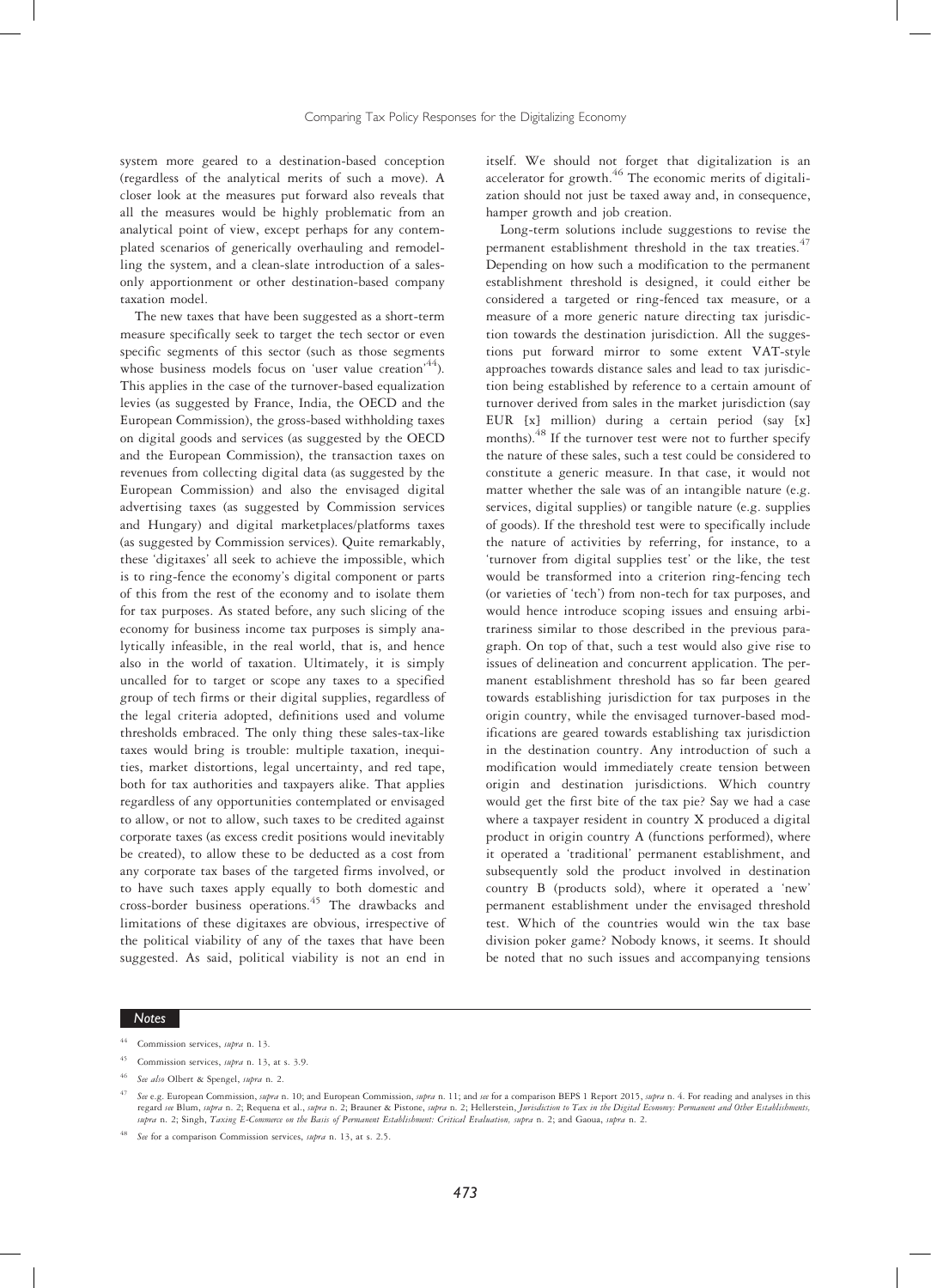system more geared to a destination-based conception (regardless of the analytical merits of such a move). A closer look at the measures put forward also reveals that all the measures would be highly problematic from an analytical point of view, except perhaps for any contemplated scenarios of generically overhauling and remodelling the system, and a clean-slate introduction of a salesonly apportionment or other destination-based company taxation model.

The new taxes that have been suggested as a short-term measure specifically seek to target the tech sector or even specific segments of this sector (such as those segments whose business models focus on 'user value creation'<sup>44</sup>). This applies in the case of the turnover-based equalization levies (as suggested by France, India, the OECD and the European Commission), the gross-based withholding taxes on digital goods and services (as suggested by the OECD and the European Commission), the transaction taxes on revenues from collecting digital data (as suggested by the European Commission) and also the envisaged digital advertising taxes (as suggested by Commission services and Hungary) and digital marketplaces/platforms taxes (as suggested by Commission services). Quite remarkably, these 'digitaxes' all seek to achieve the impossible, which is to ring-fence the economy's digital component or parts of this from the rest of the economy and to isolate them for tax purposes. As stated before, any such slicing of the economy for business income tax purposes is simply analytically infeasible, in the real world, that is, and hence also in the world of taxation. Ultimately, it is simply uncalled for to target or scope any taxes to a specified group of tech firms or their digital supplies, regardless of the legal criteria adopted, definitions used and volume thresholds embraced. The only thing these sales-tax-like taxes would bring is trouble: multiple taxation, inequities, market distortions, legal uncertainty, and red tape, both for tax authorities and taxpayers alike. That applies regardless of any opportunities contemplated or envisaged to allow, or not to allow, such taxes to be credited against corporate taxes (as excess credit positions would inevitably be created), to allow these to be deducted as a cost from any corporate tax bases of the targeted firms involved, or to have such taxes apply equally to both domestic and cross-border business operations.<sup>45</sup> The drawbacks and limitations of these digitaxes are obvious, irrespective of the political viability of any of the taxes that have been suggested. As said, political viability is not an end in

itself. We should not forget that digitalization is an accelerator for growth.<sup>46</sup> The economic merits of digitalization should not just be taxed away and, in consequence, hamper growth and job creation.

Long-term solutions include suggestions to revise the permanent establishment threshold in the tax treaties.<sup>47</sup> Depending on how such a modification to the permanent establishment threshold is designed, it could either be considered a targeted or ring-fenced tax measure, or a measure of a more generic nature directing tax jurisdiction towards the destination jurisdiction. All the suggestions put forward mirror to some extent VAT-style approaches towards distance sales and lead to tax jurisdiction being established by reference to a certain amount of turnover derived from sales in the market jurisdiction (say EUR [x] million) during a certain period (say [x] months).48 If the turnover test were not to further specify the nature of these sales, such a test could be considered to constitute a generic measure. In that case, it would not matter whether the sale was of an intangible nature (e.g. services, digital supplies) or tangible nature (e.g. supplies of goods). If the threshold test were to specifically include the nature of activities by referring, for instance, to a 'turnover from digital supplies test' or the like, the test would be transformed into a criterion ring-fencing tech (or varieties of 'tech') from non-tech for tax purposes, and would hence introduce scoping issues and ensuing arbitrariness similar to those described in the previous paragraph. On top of that, such a test would also give rise to issues of delineation and concurrent application. The permanent establishment threshold has so far been geared towards establishing jurisdiction for tax purposes in the origin country, while the envisaged turnover-based modifications are geared towards establishing tax jurisdiction in the destination country. Any introduction of such a modification would immediately create tension between origin and destination jurisdictions. Which country would get the first bite of the tax pie? Say we had a case where a taxpayer resident in country X produced a digital product in origin country A (functions performed), where it operated a 'traditional' permanent establishment, and subsequently sold the product involved in destination country B (products sold), where it operated a 'new' permanent establishment under the envisaged threshold test. Which of the countries would win the tax base division poker game? Nobody knows, it seems. It should be noted that no such issues and accompanying tensions

#### Notes

Commission services, *supra* n. 13, at s. 3.9.

Commission services, supra n. 13.

See also Olbert & Spengel, supra n. 2.

See e.g. European Commission, supra n. 10; and European Commission, supra n. 11; and see for a comparison BEPS 1 Report 2015, supra n. 4. For reading and analyses in this regard see Blum, supra n. 2; Requena et al., supra n. 2; Brauner & Pistone, supra n. 2; Hellerstein, Jurisdiction to Tax in the Digital Economy: Permanent and Other Establishments, supra n. 2; Singh, Taxing E-Commerce on the Basis of Permanent Establishment: Critical Evaluation, supra n. 2; and Gaoua, supra n. 2.

See for a comparison Commission services, supra n. 13, at s. 2.5.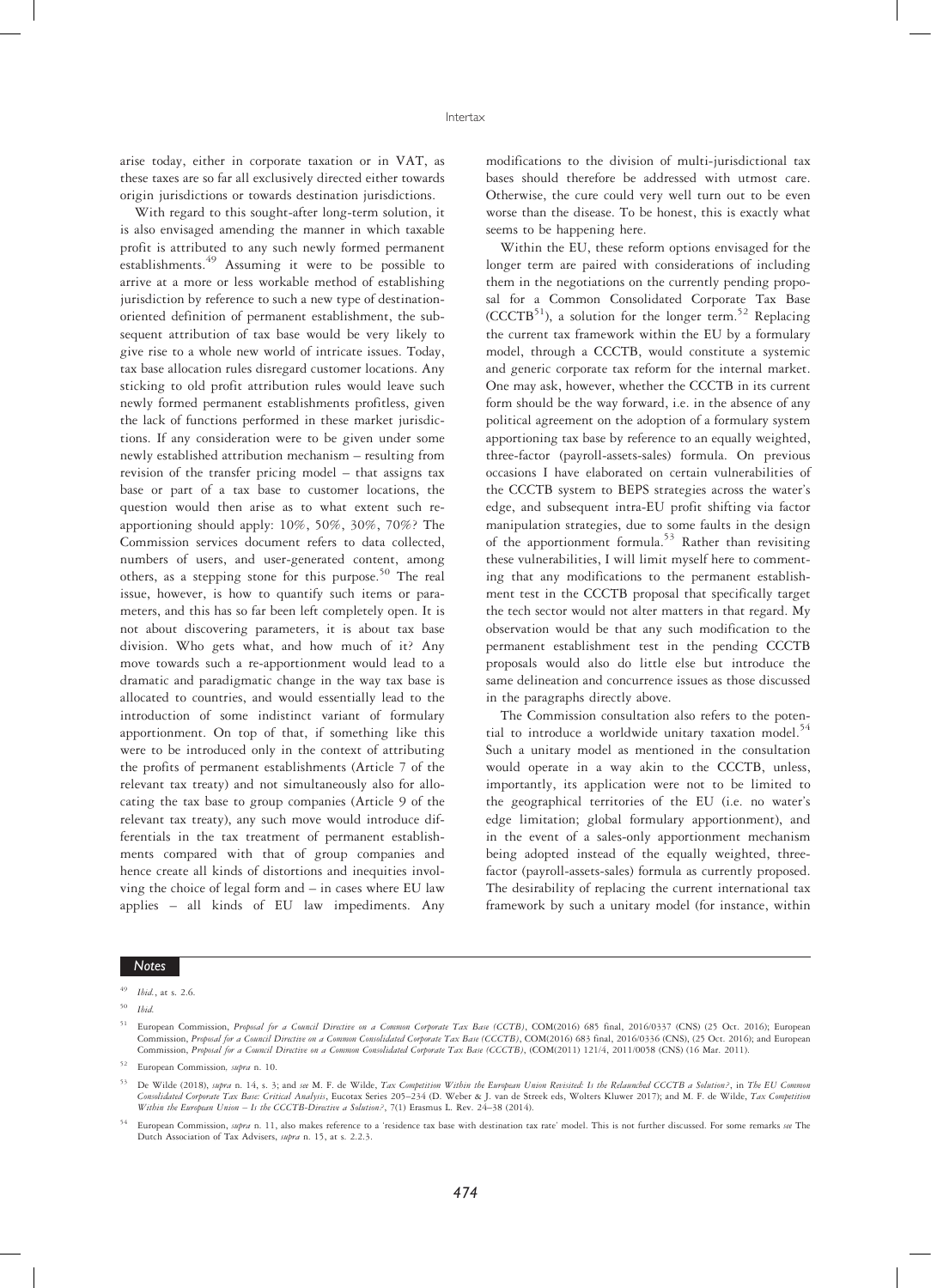arise today, either in corporate taxation or in VAT, as these taxes are so far all exclusively directed either towards origin jurisdictions or towards destination jurisdictions.

With regard to this sought-after long-term solution, it is also envisaged amending the manner in which taxable profit is attributed to any such newly formed permanent establishments.<sup>49</sup> Assuming it were to be possible to arrive at a more or less workable method of establishing jurisdiction by reference to such a new type of destinationoriented definition of permanent establishment, the subsequent attribution of tax base would be very likely to give rise to a whole new world of intricate issues. Today, tax base allocation rules disregard customer locations. Any sticking to old profit attribution rules would leave such newly formed permanent establishments profitless, given the lack of functions performed in these market jurisdictions. If any consideration were to be given under some newly established attribution mechanism – resulting from revision of the transfer pricing model – that assigns tax base or part of a tax base to customer locations, the question would then arise as to what extent such reapportioning should apply: 10%, 50%, 30%, 70%? The Commission services document refers to data collected, numbers of users, and user-generated content, among others, as a stepping stone for this purpose.<sup>50</sup> The real issue, however, is how to quantify such items or parameters, and this has so far been left completely open. It is not about discovering parameters, it is about tax base division. Who gets what, and how much of it? Any move towards such a re-apportionment would lead to a dramatic and paradigmatic change in the way tax base is allocated to countries, and would essentially lead to the introduction of some indistinct variant of formulary apportionment. On top of that, if something like this were to be introduced only in the context of attributing the profits of permanent establishments (Article 7 of the relevant tax treaty) and not simultaneously also for allocating the tax base to group companies (Article 9 of the relevant tax treaty), any such move would introduce differentials in the tax treatment of permanent establishments compared with that of group companies and hence create all kinds of distortions and inequities involving the choice of legal form and – in cases where EU law applies – all kinds of EU law impediments. Any

modifications to the division of multi-jurisdictional tax bases should therefore be addressed with utmost care. Otherwise, the cure could very well turn out to be even worse than the disease. To be honest, this is exactly what seems to be happening here.

Within the EU, these reform options envisaged for the longer term are paired with considerations of including them in the negotiations on the currently pending proposal for a Common Consolidated Corporate Tax Base (CCCTB<sup>51</sup>), a solution for the longer term.<sup>52</sup> Replacing the current tax framework within the EU by a formulary model, through a CCCTB, would constitute a systemic and generic corporate tax reform for the internal market. One may ask, however, whether the CCCTB in its current form should be the way forward, i.e. in the absence of any political agreement on the adoption of a formulary system apportioning tax base by reference to an equally weighted, three-factor (payroll-assets-sales) formula. On previous occasions I have elaborated on certain vulnerabilities of the CCCTB system to BEPS strategies across the water's edge, and subsequent intra-EU profit shifting via factor manipulation strategies, due to some faults in the design of the apportionment formula.<sup>53</sup> Rather than revisiting these vulnerabilities, I will limit myself here to commenting that any modifications to the permanent establishment test in the CCCTB proposal that specifically target the tech sector would not alter matters in that regard. My observation would be that any such modification to the permanent establishment test in the pending CCCTB proposals would also do little else but introduce the same delineation and concurrence issues as those discussed in the paragraphs directly above.

The Commission consultation also refers to the potential to introduce a worldwide unitary taxation model. $54$ Such a unitary model as mentioned in the consultation would operate in a way akin to the CCCTB, unless, importantly, its application were not to be limited to the geographical territories of the EU (i.e. no water's edge limitation; global formulary apportionment), and in the event of a sales-only apportionment mechanism being adopted instead of the equally weighted, threefactor (payroll-assets-sales) formula as currently proposed. The desirability of replacing the current international tax framework by such a unitary model (for instance, within

*Ibid.*, at s. 2.6.

<sup>50</sup> Ibid.

European Commission, Proposal for a Council Directive on a Common Corporate Tax Base (CCTB), COM(2016) 685 final, 2016/0337 (CNS) (25 Oct. 2016); European Commission, Proposal for a Council Directive on a Common Consolidated Corporate Tax Base (CCCTB), COM(2016) 683 final, 2016/0336 (CNS), (25 Oct. 2016); and European Commission, Proposal for a Council Directive on a Common Consolidated Corporate Tax Base (CCCTB), (COM(2011) 121/4, 2011/0058 (CNS) (16 Mar. 2011).

<sup>52</sup> European Commission, supra n. 10.

De Wilde (2018), supra n. 14, s. 3; and see M. F. de Wilde, Tax Competition Within the European Union Revisited: Is the Relaunched CCCTB a Solution?, in The EU Common Consolidated Corporate Tax Base: Critical Analysis, Eucotax Series 205–234 (D. Weber & J. van de Streek eds. Wolters Kluwer 2017); and M. F. de Wilde, Tax Competition Within the European Union – Is the CCCTB-Directive a Solution?, 7(1) Erasmus L. Rev. 24–38 (2014).

European Commission, supra n. 11, also makes reference to a 'residence tax base with destination tax rate' model. This is not further discussed. For some remarks see The Dutch Association of Tax Advisers, supra n. 15, at s. 2.2.3.